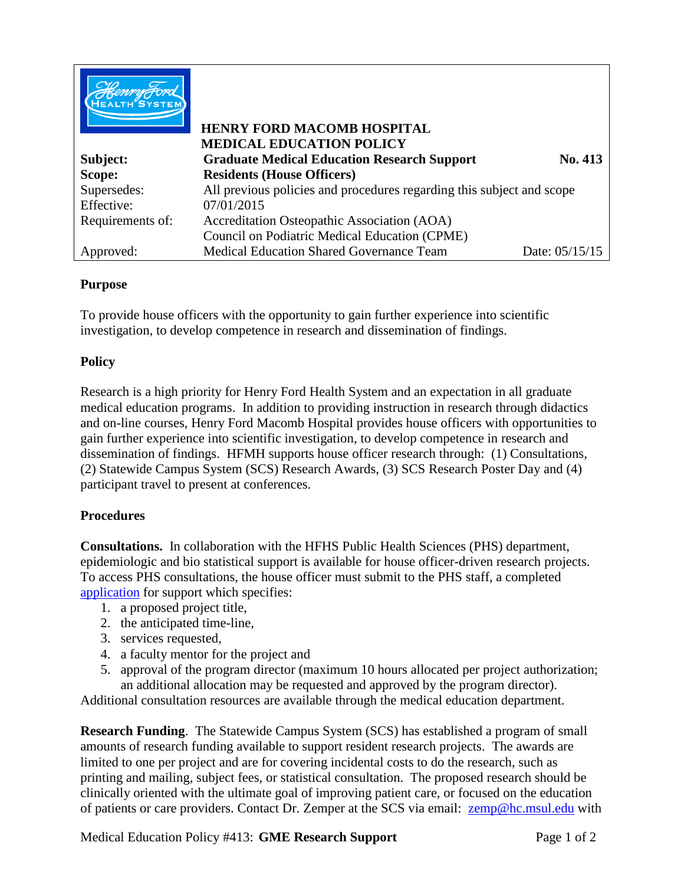|                  | <b>HENRY FORD MACOMB HOSPITAL</b><br><b>MEDICAL EDUCATION POLICY</b>  |                |
|------------------|-----------------------------------------------------------------------|----------------|
| Subject:         | <b>Graduate Medical Education Research Support</b>                    | No. 413        |
| Scope:           | <b>Residents (House Officers)</b>                                     |                |
| Supersedes:      | All previous policies and procedures regarding this subject and scope |                |
| Effective:       | 07/01/2015                                                            |                |
| Requirements of: | Accreditation Osteopathic Association (AOA)                           |                |
|                  | Council on Podiatric Medical Education (CPME)                         |                |
| Approved:        | <b>Medical Education Shared Governance Team</b>                       | Date: 05/15/15 |

## **Purpose**

To provide house officers with the opportunity to gain further experience into scientific investigation, to develop competence in research and dissemination of findings.

## **Policy**

Research is a high priority for Henry Ford Health System and an expectation in all graduate medical education programs. In addition to providing instruction in research through didactics and on-line courses, Henry Ford Macomb Hospital provides house officers with opportunities to gain further experience into scientific investigation, to develop competence in research and dissemination of findings. HFMH supports house officer research through: (1) Consultations, (2) Statewide Campus System (SCS) Research Awards, (3) SCS Research Poster Day and (4) participant travel to present at conferences.

## **Procedures**

**Consultations.** In collaboration with the HFHS Public Health Sciences (PHS) department, epidemiologic and bio statistical support is available for house officer-driven research projects. To access PHS consultations, the house officer must submit to the PHS staff, a completed application for support which specifies:

- 1. a proposed project title,
- 2. the anticipated time-line,
- 3. services requested,
- 4. a faculty mentor for the project and
- 5. approval of the program director (maximum 10 hours allocated per project authorization; an additional allocation may be requested and approved by the program director).

Additional consultation resources are available through the medical education department.

**Research Funding**. The Statewide Campus System (SCS) has established a program of small amounts of research funding available to support resident research projects. The awards are limited to one per project and are for covering incidental costs to do the research, such as printing and mailing, subject fees, or statistical consultation. The proposed research should be clinically oriented with the ultimate goal of improving patient care, or focused on the education of patients or care providers. Contact Dr. Zemper at the SCS via email: [zemp@hc.msul.edu](mailto:zemp@hc.msul.edu) with